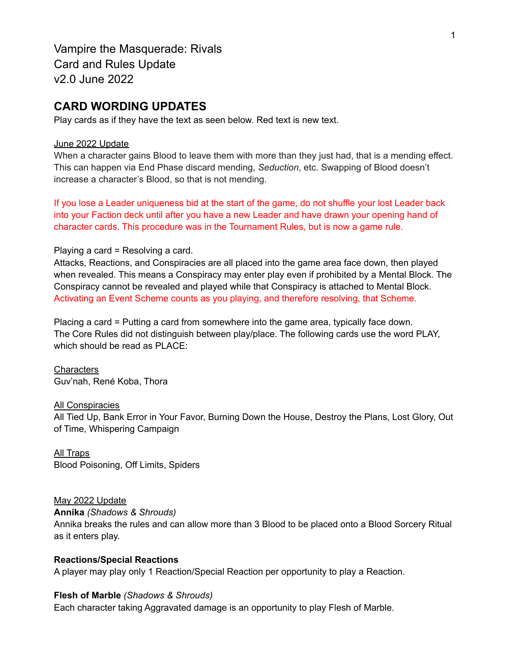Vampire the Masquerade: Rivals Card and Rules Update v2.0 June 2022

## **CARD WORDING UPDATES**

Play cards as if they have the text as seen below. Red text is new text.

#### June 2022 Update

When a character gains Blood to leave them with more than they just had, that is a mending effect. This can happen via End Phase discard mending, *Seduction*, etc. Swapping of Blood doesn't increase a character's Blood, so that is not mending.

If you lose a Leader uniqueness bid at the start of the game, do not shuffle your lost Leader back into your Faction deck until after you have a new Leader and have drawn your opening hand of character cards. This procedure was in the Tournament Rules, but is now a game rule.

### Playing a card = Resolving a card.

Attacks, Reactions, and Conspiracies are all placed into the game area face down, then played when revealed. This means a Conspiracy may enter play even if prohibited by a Mental Block. The Conspiracy cannot be revealed and played while that Conspiracy is attached to Mental Block. Activating an Event Scheme counts as you playing, and therefore resolving, that Scheme.

Placing a card = Putting a card from somewhere into the game area, typically face down. The Core Rules did not distinguish between play/place. The following cards use the word PLAY, which should be read as PLACE:

**Characters** Guv'nah, René Koba, Thora

#### All Conspiracies

All Tied Up, Bank Error in Your Favor, Burning Down the House, Destroy the Plans, Lost Glory, Out of Time, Whispering Campaign

### All Traps

Blood Poisoning, Off Limits, Spiders

#### May 2022 Update

**Annika** *(Shadows & Shrouds)*

Annika breaks the rules and can allow more than 3 Blood to be placed onto a Blood Sorcery Ritual as it enters play.

#### **Reactions/Special Reactions**

A player may play only 1 Reaction/Special Reaction per opportunity to play a Reaction.

### **Flesh of Marble** *(Shadows & Shrouds)*

Each character taking Aggravated damage is an opportunity to play Flesh of Marble.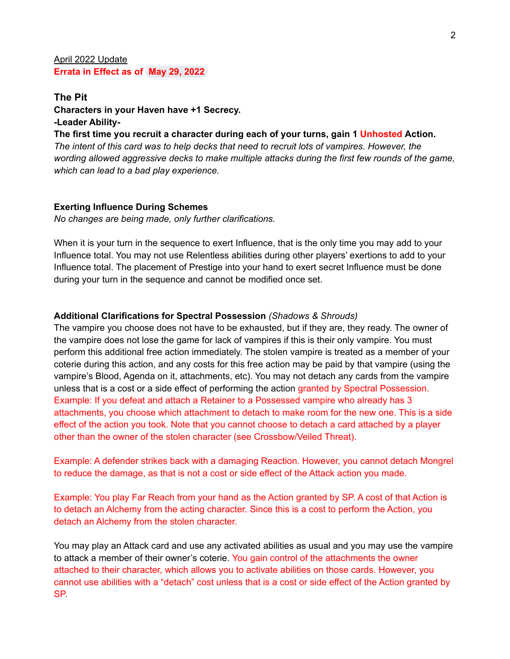### April 2022 Update **Errata in Effect as of May 29, 2022**

# **The Pit Characters in your Haven have +1 Secrecy. -Leader Ability-**

**The first time you recruit a character during each of your turns, gain 1 Unhosted Action.** *The intent of this card was to help decks that need to recruit lots of vampires. However, the wording allowed aggressive decks to make multiple attacks during the first few rounds of the game, which can lead to a bad play experience.*

### **Exerting Influence During Schemes**

*No changes are being made, only further clarifications.*

When it is your turn in the sequence to exert Influence, that is the only time you may add to your Influence total. You may not use Relentless abilities during other players' exertions to add to your Influence total. The placement of Prestige into your hand to exert secret Influence must be done during your turn in the sequence and cannot be modified once set.

## **Additional Clarifications for Spectral Possession** *(Shadows & Shrouds)*

The vampire you choose does not have to be exhausted, but if they are, they ready. The owner of the vampire does not lose the game for lack of vampires if this is their only vampire. You must perform this additional free action immediately. The stolen vampire is treated as a member of your coterie during this action, and any costs for this free action may be paid by that vampire (using the vampire's Blood, Agenda on it, attachments, etc). You may not detach any cards from the vampire unless that is a cost or a side effect of performing the action granted by Spectral Possession. Example: If you defeat and attach a Retainer to a Possessed vampire who already has 3 attachments, you choose which attachment to detach to make room for the new one. This is a side effect of the action you took. Note that you cannot choose to detach a card attached by a player other than the owner of the stolen character (see Crossbow/Veiled Threat).

Example: A defender strikes back with a damaging Reaction. However, you cannot detach Mongrel to reduce the damage, as that is not a cost or side effect of the Attack action you made.

Example: You play Far Reach from your hand as the Action granted by SP. A cost of that Action is to detach an Alchemy from the acting character. Since this is a cost to perform the Action, you detach an Alchemy from the stolen character.

You may play an Attack card and use any activated abilities as usual and you may use the vampire to attack a member of their owner's coterie. You gain control of the attachments the owner attached to their character, which allows you to activate abilities on those cards. However, you cannot use abilities with a "detach" cost unless that is a cost or side effect of the Action granted by SP.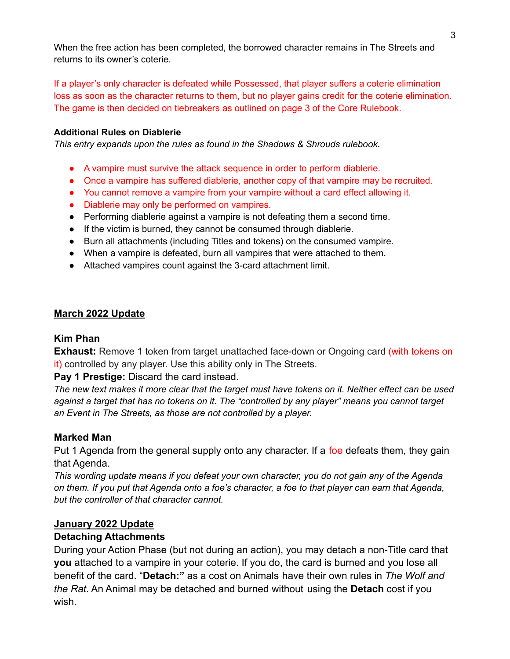When the free action has been completed, the borrowed character remains in The Streets and returns to its owner's coterie.

If a player's only character is defeated while Possessed, that player suffers a coterie elimination loss as soon as the character returns to them, but no player gains credit for the coterie elimination. The game is then decided on tiebreakers as outlined on page 3 of the Core Rulebook.

## **Additional Rules on Diablerie**

*This entry expands upon the rules as found in the Shadows & Shrouds rulebook.*

- A vampire must survive the attack sequence in order to perform diablerie.
- Once a vampire has suffered diablerie, another copy of that vampire may be recruited.
- You cannot remove a vampire from your vampire without a card effect allowing it.
- Diablerie may only be performed on vampires.
- Performing diablerie against a vampire is not defeating them a second time.
- If the victim is burned, they cannot be consumed through diablerie.
- Burn all attachments (including Titles and tokens) on the consumed vampire.
- When a vampire is defeated, burn all vampires that were attached to them.
- Attached vampires count against the 3-card attachment limit.

## **March 2022 Update**

## **Kim Phan**

**Exhaust:** Remove 1 token from target unattached face-down or Ongoing card (with tokens on it) controlled by any player. Use this ability only in The Streets.

## **Pay 1 Prestige:** Discard the card instead.

The new text makes it more clear that the target must have tokens on it. Neither effect can be used *against a target that has no tokens on it. The "controlled by any player" means you cannot target an Event in The Streets, as those are not controlled by a player.*

## **Marked Man**

Put 1 Agenda from the general supply onto any character. If a foe defeats them, they gain that Agenda.

*This wording update means if you defeat your own character, you do not gain any of the Agenda* on them. If you put that Agenda onto a foe's character, a foe to that player can earn that Agenda, *but the controller of that character cannot.*

## **January 2022 Update**

## **Detaching Attachments**

During your Action Phase (but not during an action), you may detach a non-Title card that **you** attached to a vampire in your coterie. If you do, the card is burned and you lose all benefit of the card. "**Detach:"** as a cost on Animals have their own rules in *The Wolf and the Rat*. An Animal may be detached and burned without using the **Detach** cost if you wish.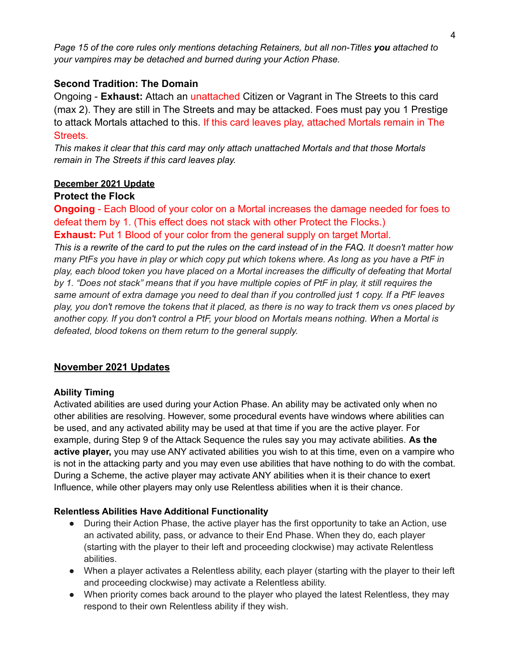*Page 15 of the core rules only mentions detaching Retainers, but all non-Titles you attached to your vampires may be detached and burned during your Action Phase.*

## **Second Tradition: The Domain**

Ongoing - **Exhaust:** Attach an unattached Citizen or Vagrant in The Streets to this card (max 2). They are still in The Streets and may be attacked. Foes must pay you 1 Prestige to attack Mortals attached to this. If this card leaves play, attached Mortals remain in The Streets.

*This makes it clear that this card may only attach unattached Mortals and that those Mortals remain in The Streets if this card leaves play.*

## **December 2021 Update**

## **Protect the Flock**

**Ongoing** - Each Blood of your color on a Mortal increases the damage needed for foes to defeat them by 1. (This effect does not stack with other Protect the Flocks.)

**Exhaust:** Put 1 Blood of your color from the general supply on target Mortal.

This is a rewrite of the card to put the rules on the card instead of in the FAQ. It doesn't matter how many PtFs you have in play or which copy put which tokens where. As long as you have a PtF in *play, each blood token you have placed on a Mortal increases the difficulty of defeating that Mortal* by 1. "Does not stack" means that if you have multiple copies of PtF in play, it still requires the same amount of extra damage you need to deal than if you controlled just 1 copy. If a PtF leaves play, you don't remove the tokens that it placed, as there is no way to track them vs ones placed by *another copy. If you don't control a PtF, your blood on Mortals means nothing. When a Mortal is defeated, blood tokens on them return to the general supply.*

## **November 2021 Updates**

## **Ability Timing**

Activated abilities are used during your Action Phase. An ability may be activated only when no other abilities are resolving. However, some procedural events have windows where abilities can be used, and any activated ability may be used at that time if you are the active player. For example, during Step 9 of the Attack Sequence the rules say you may activate abilities. **As the active player,** you may use ANY activated abilities you wish to at this time, even on a vampire who is not in the attacking party and you may even use abilities that have nothing to do with the combat. During a Scheme, the active player may activate ANY abilities when it is their chance to exert Influence, while other players may only use Relentless abilities when it is their chance.

## **Relentless Abilities Have Additional Functionality**

- During their Action Phase, the active player has the first opportunity to take an Action, use an activated ability, pass, or advance to their End Phase. When they do, each player (starting with the player to their left and proceeding clockwise) may activate Relentless abilities.
- When a player activates a Relentless ability, each player (starting with the player to their left and proceeding clockwise) may activate a Relentless ability.
- When priority comes back around to the player who played the latest Relentless, they may respond to their own Relentless ability if they wish.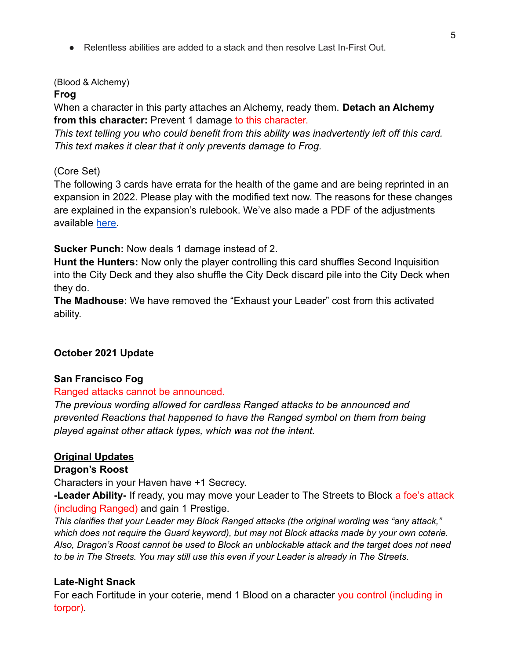● Relentless abilities are added to a stack and then resolve Last In-First Out.

## (Blood & Alchemy)

## **Frog**

When a character in this party attaches an Alchemy, ready them. **Detach an Alchemy** from this character: Prevent 1 damage to this character.

*This text telling you who could benefit from this ability was inadvertently left off this card. This text makes it clear that it only prevents damage to Frog.*

## (Core Set)

The following 3 cards have errata for the health of the game and are being reprinted in an expansion in 2022. Please play with the modified text now. The reasons for these changes are explained in the expansion's rulebook. We've also made a PDF of the adjustments available [here.](https://www.vampirecardgame.com/s/November-2021-Rivals-Errata.pdf)

**Sucker Punch:** Now deals 1 damage instead of 2.

**Hunt the Hunters:** Now only the player controlling this card shuffles Second Inquisition into the City Deck and they also shuffle the City Deck discard pile into the City Deck when they do.

**The Madhouse:** We have removed the "Exhaust your Leader" cost from this activated ability.

# **October 2021 Update**

## **San Francisco Fog**

## Ranged attacks cannot be announced.

*The previous wording allowed for cardless Ranged attacks to be announced and prevented Reactions that happened to have the Ranged symbol on them from being played against other attack types, which was not the intent.*

## **Original Updates**

## **Dragon's Roost**

Characters in your Haven have +1 Secrecy.

**-Leader Ability-** If ready, you may move your Leader to The Streets to Block a foe's attack (including Ranged) and gain 1 Prestige.

*This clarifies that your Leader may Block Ranged attacks (the original wording was "any attack," which does not require the Guard keyword), but may not Block attacks made by your own coterie. Also, Dragon's Roost cannot be used to Block an unblockable attack and the target does not need to be in The Streets. You may still use this even if your Leader is already in The Streets.*

## **Late-Night Snack**

For each Fortitude in your coterie, mend 1 Blood on a character you control (including in torpor).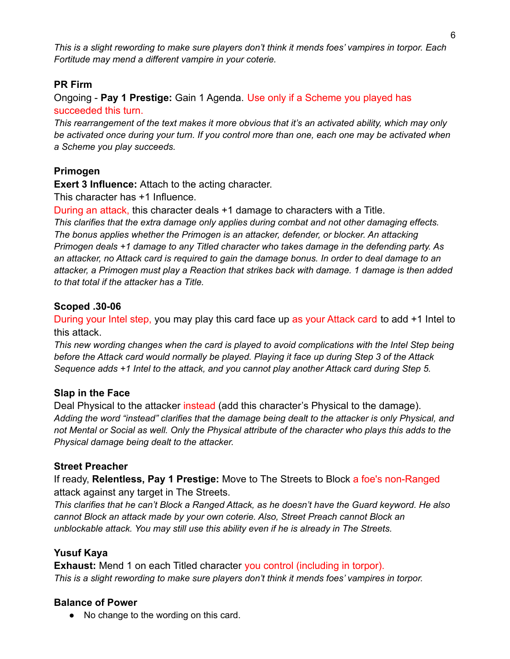This is a slight rewording to make sure players don't think it mends foes' vampires in torpor. Each *Fortitude may mend a different vampire in your coterie.*

## **PR Firm**

Ongoing - **Pay 1 Prestige:** Gain 1 Agenda. Use only if a Scheme you played has succeeded this turn.

*This rearrangement of the text makes it more obvious that it's an activated ability, which may only be activated once during your turn. If you control more than one, each one may be activated when a Scheme you play succeeds.*

# **Primogen**

**Exert 3 Influence:** Attach to the acting character.

This character has +1 Influence.

During an attack, this character deals +1 damage to characters with a Title.

*This clarifies that the extra damage only applies during combat and not other damaging effects. The bonus applies whether the Primogen is an attacker, defender, or blocker. An attacking Primogen deals +1 damage to any Titled character who takes damage in the defending party. As* an attacker, no Attack card is required to gain the damage bonus. In order to deal damage to an *attacker, a Primogen must play a Reaction that strikes back with damage. 1 damage is then added to that total if the attacker has a Title.*

# **Scoped .30-06**

During your Intel step, you may play this card face up as your Attack card to add +1 Intel to this attack.

*This new wording changes when the card is played to avoid complications with the Intel Step being before the Attack card would normally be played. Playing it face up during Step 3 of the Attack Sequence adds +1 Intel to the attack, and you cannot play another Attack card during Step 5.*

# **Slap in the Face**

Deal Physical to the attacker instead (add this character's Physical to the damage). *Adding the word "instead" clarifies that the damage being dealt to the attacker is only Physical, and* not Mental or Social as well. Only the Physical attribute of the character who plays this adds to the *Physical damage being dealt to the attacker.*

# **Street Preacher**

If ready, **Relentless, Pay 1 Prestige:** Move to The Streets to Block a foe's non-Ranged attack against any target in The Streets.

*This clarifies that he can't Block a Ranged Attack, as he doesn't have the Guard keyword. He also cannot Block an attack made by your own coterie. Also, Street Preach cannot Block an unblockable attack. You may still use this ability even if he is already in The Streets.*

# **Yusuf Kaya**

**Exhaust:** Mend 1 on each Titled character you control (including in torpor). *This is a slight rewording to make sure players don't think it mends foes' vampires in torpor.*

# **Balance of Power**

● No change to the wording on this card.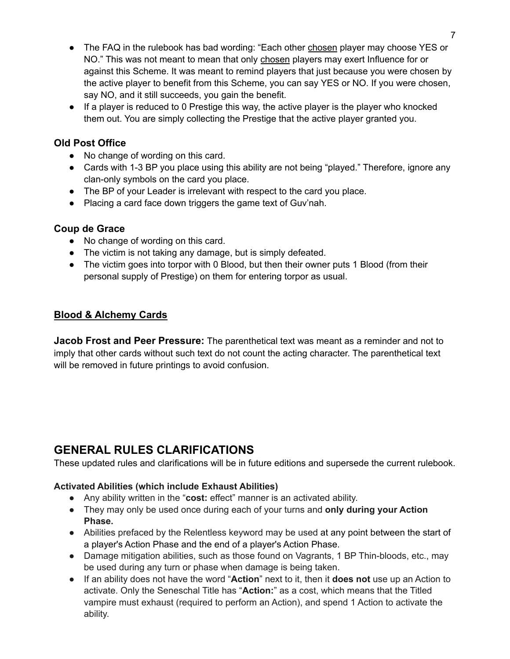- The FAQ in the rulebook has bad wording: "Each other chosen player may choose YES or NO." This was not meant to mean that only chosen players may exert Influence for or against this Scheme. It was meant to remind players that just because you were chosen by the active player to benefit from this Scheme, you can say YES or NO. If you were chosen, say NO, and it still succeeds, you gain the benefit.
- If a player is reduced to 0 Prestige this way, the active player is the player who knocked them out. You are simply collecting the Prestige that the active player granted you.

## **Old Post Office**

- No change of wording on this card.
- Cards with 1-3 BP you place using this ability are not being "played." Therefore, ignore any clan-only symbols on the card you place.
- The BP of your Leader is irrelevant with respect to the card you place.
- Placing a card face down triggers the game text of Guv'nah.

## **Coup de Grace**

- No change of wording on this card.
- The victim is not taking any damage, but is simply defeated.
- The victim goes into torpor with 0 Blood, but then their owner puts 1 Blood (from their personal supply of Prestige) on them for entering torpor as usual.

## **Blood & Alchemy Cards**

**Jacob Frost and Peer Pressure:** The parenthetical text was meant as a reminder and not to imply that other cards without such text do not count the acting character. The parenthetical text will be removed in future printings to avoid confusion.

# **GENERAL RULES CLARIFICATIONS**

These updated rules and clarifications will be in future editions and supersede the current rulebook.

## **Activated Abilities (which include Exhaust Abilities)**

- Any ability written in the "**cost:** effect" manner is an activated ability.
- They may only be used once during each of your turns and **only during your Action Phase.**
- Abilities prefaced by the Relentless keyword may be used at any point between the start of a player's Action Phase and the end of a player's Action Phase.
- Damage mitigation abilities, such as those found on Vagrants, 1 BP Thin-bloods, etc., may be used during any turn or phase when damage is being taken.
- If an ability does not have the word "**Action**" next to it, then it **does not** use up an Action to activate. Only the Seneschal Title has "**Action:**" as a cost, which means that the Titled vampire must exhaust (required to perform an Action), and spend 1 Action to activate the ability.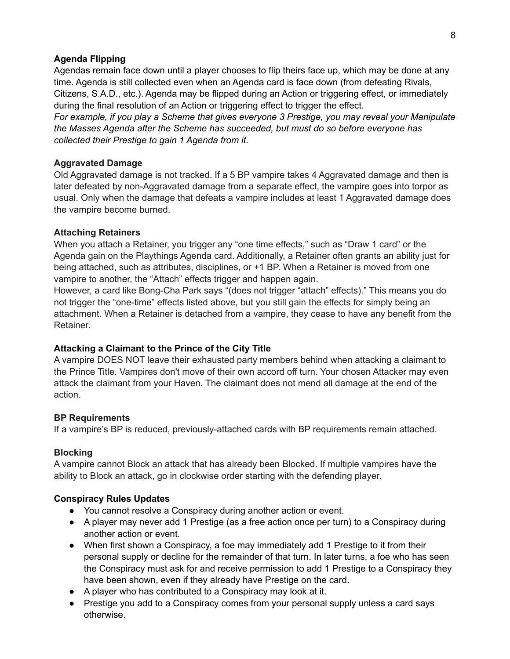### **Agenda Flipping**

Agendas remain face down until a player chooses to flip theirs face up, which may be done at any time. Agenda is still collected even when an Agenda card is face down (from defeating Rivals, Citizens, S.A.D., etc.). Agenda may be flipped during an Action or triggering effect, or immediately during the final resolution of an Action or triggering effect to trigger the effect.

*For example, if you play a Scheme that gives everyone 3 Prestige, you may reveal your Manipulate the Masses Agenda after the Scheme has succeeded, but must do so before everyone has collected their Prestige to gain 1 Agenda from it.*

### **Aggravated Damage**

Old Aggravated damage is not tracked. If a 5 BP vampire takes 4 Aggravated damage and then is later defeated by non-Aggravated damage from a separate effect, the vampire goes into torpor as usual. Only when the damage that defeats a vampire includes at least 1 Aggravated damage does the vampire become burned.

### **Attaching Retainers**

When you attach a Retainer, you trigger any "one time effects," such as "Draw 1 card" or the Agenda gain on the Playthings Agenda card. Additionally, a Retainer often grants an ability just for being attached, such as attributes, disciplines, or +1 BP. When a Retainer is moved from one vampire to another, the "Attach" effects trigger and happen again.

However, a card like Bong-Cha Park says "(does not trigger "attach" effects)." This means you do not trigger the "one-time" effects listed above, but you still gain the effects for simply being an attachment. When a Retainer is detached from a vampire, they cease to have any benefit from the Retainer.

### **Attacking a Claimant to the Prince of the City Title**

A vampire DOES NOT leave their exhausted party members behind when attacking a claimant to the Prince Title. Vampires don't move of their own accord off turn. Your chosen Attacker may even attack the claimant from your Haven. The claimant does not mend all damage at the end of the action.

### **BP Requirements**

If a vampire's BP is reduced, previously-attached cards with BP requirements remain attached.

### **Blocking**

A vampire cannot Block an attack that has already been Blocked. If multiple vampires have the ability to Block an attack, go in clockwise order starting with the defending player.

### **Conspiracy Rules Updates**

- You cannot resolve a Conspiracy during another action or event.
- A player may never add 1 Prestige (as a free action once per turn) to a Conspiracy during another action or event.
- When first shown a Conspiracy, a foe may immediately add 1 Prestige to it from their personal supply or decline for the remainder of that turn. In later turns, a foe who has seen the Conspiracy must ask for and receive permission to add 1 Prestige to a Conspiracy they have been shown, even if they already have Prestige on the card.
- A player who has contributed to a Conspiracy may look at it.
- Prestige you add to a Conspiracy comes from your personal supply unless a card says otherwise.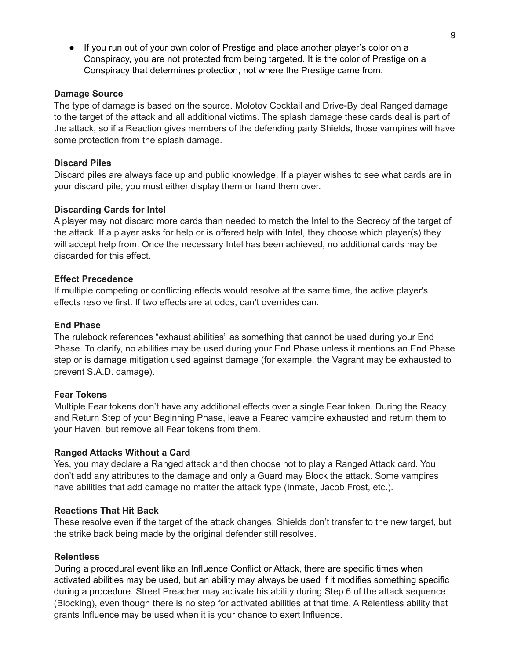● If you run out of your own color of Prestige and place another player's color on a Conspiracy, you are not protected from being targeted. It is the color of Prestige on a Conspiracy that determines protection, not where the Prestige came from.

### **Damage Source**

The type of damage is based on the source. Molotov Cocktail and Drive-By deal Ranged damage to the target of the attack and all additional victims. The splash damage these cards deal is part of the attack, so if a Reaction gives members of the defending party Shields, those vampires will have some protection from the splash damage.

### **Discard Piles**

Discard piles are always face up and public knowledge. If a player wishes to see what cards are in your discard pile, you must either display them or hand them over.

### **Discarding Cards for Intel**

A player may not discard more cards than needed to match the Intel to the Secrecy of the target of the attack. If a player asks for help or is offered help with Intel, they choose which player(s) they will accept help from. Once the necessary Intel has been achieved, no additional cards may be discarded for this effect.

### **Effect Precedence**

If multiple competing or conflicting effects would resolve at the same time, the active player's effects resolve first. If two effects are at odds, can't overrides can.

### **End Phase**

The rulebook references "exhaust abilities" as something that cannot be used during your End Phase. To clarify, no abilities may be used during your End Phase unless it mentions an End Phase step or is damage mitigation used against damage (for example, the Vagrant may be exhausted to prevent S.A.D. damage).

### **Fear Tokens**

Multiple Fear tokens don't have any additional effects over a single Fear token. During the Ready and Return Step of your Beginning Phase, leave a Feared vampire exhausted and return them to your Haven, but remove all Fear tokens from them.

### **Ranged Attacks Without a Card**

Yes, you may declare a Ranged attack and then choose not to play a Ranged Attack card. You don't add any attributes to the damage and only a Guard may Block the attack. Some vampires have abilities that add damage no matter the attack type (Inmate, Jacob Frost, etc.).

### **Reactions That Hit Back**

These resolve even if the target of the attack changes. Shields don't transfer to the new target, but the strike back being made by the original defender still resolves.

### **Relentless**

During a procedural event like an Influence Conflict or Attack, there are specific times when activated abilities may be used, but an ability may always be used if it modifies something specific during a procedure. Street Preacher may activate his ability during Step 6 of the attack sequence (Blocking), even though there is no step for activated abilities at that time. A Relentless ability that grants Influence may be used when it is your chance to exert Influence.